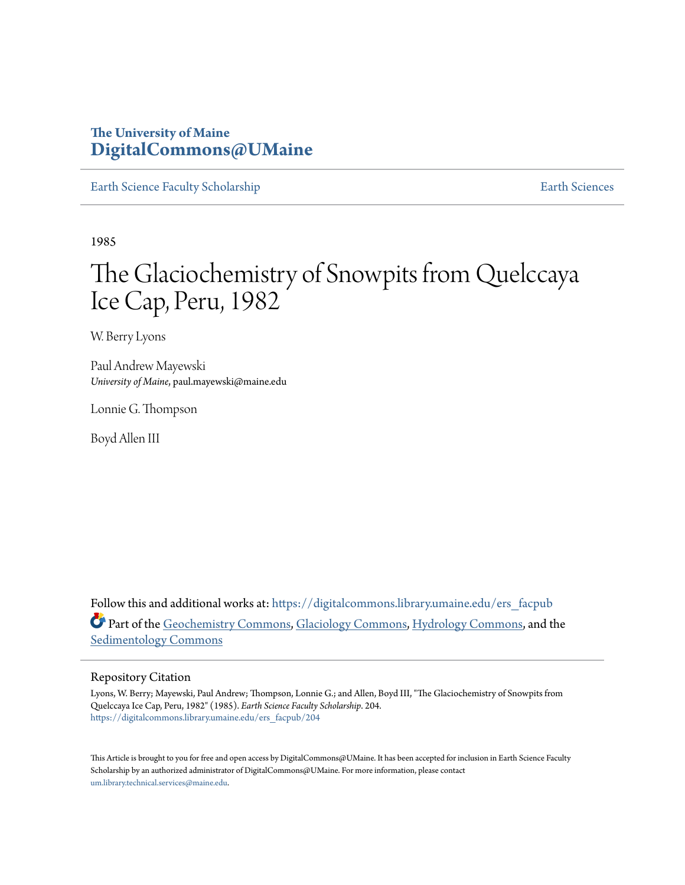## **The University of Maine [DigitalCommons@UMaine](https://digitalcommons.library.umaine.edu?utm_source=digitalcommons.library.umaine.edu%2Fers_facpub%2F204&utm_medium=PDF&utm_campaign=PDFCoverPages)**

[Earth Science Faculty Scholarship](https://digitalcommons.library.umaine.edu/ers_facpub?utm_source=digitalcommons.library.umaine.edu%2Fers_facpub%2F204&utm_medium=PDF&utm_campaign=PDFCoverPages) **[Earth Sciences](https://digitalcommons.library.umaine.edu/ers?utm_source=digitalcommons.library.umaine.edu%2Fers_facpub%2F204&utm_medium=PDF&utm_campaign=PDFCoverPages)** 

1985

# The Glaciochemistry of Snowpits from Quelccaya Ice Cap, Peru, 1982

W. Berry Lyons

Paul Andrew Mayewski *University of Maine*, paul.mayewski@maine.edu

Lonnie G. Thompson

Boyd Allen III

Follow this and additional works at: [https://digitalcommons.library.umaine.edu/ers\\_facpub](https://digitalcommons.library.umaine.edu/ers_facpub?utm_source=digitalcommons.library.umaine.edu%2Fers_facpub%2F204&utm_medium=PDF&utm_campaign=PDFCoverPages) Part of the [Geochemistry Commons](http://network.bepress.com/hgg/discipline/157?utm_source=digitalcommons.library.umaine.edu%2Fers_facpub%2F204&utm_medium=PDF&utm_campaign=PDFCoverPages), [Glaciology Commons,](http://network.bepress.com/hgg/discipline/159?utm_source=digitalcommons.library.umaine.edu%2Fers_facpub%2F204&utm_medium=PDF&utm_campaign=PDFCoverPages) [Hydrology Commons](http://network.bepress.com/hgg/discipline/1054?utm_source=digitalcommons.library.umaine.edu%2Fers_facpub%2F204&utm_medium=PDF&utm_campaign=PDFCoverPages), and the [Sedimentology Commons](http://network.bepress.com/hgg/discipline/1079?utm_source=digitalcommons.library.umaine.edu%2Fers_facpub%2F204&utm_medium=PDF&utm_campaign=PDFCoverPages)

#### Repository Citation

Lyons, W. Berry; Mayewski, Paul Andrew; Thompson, Lonnie G.; and Allen, Boyd III, "The Glaciochemistry of Snowpits from Quelccaya Ice Cap, Peru, 1982" (1985). *Earth Science Faculty Scholarship*. 204. [https://digitalcommons.library.umaine.edu/ers\\_facpub/204](https://digitalcommons.library.umaine.edu/ers_facpub/204?utm_source=digitalcommons.library.umaine.edu%2Fers_facpub%2F204&utm_medium=PDF&utm_campaign=PDFCoverPages)

This Article is brought to you for free and open access by DigitalCommons@UMaine. It has been accepted for inclusion in Earth Science Faculty Scholarship by an authorized administrator of DigitalCommons@UMaine. For more information, please contact [um.library.technical.services@maine.edu](mailto:um.library.technical.services@maine.edu).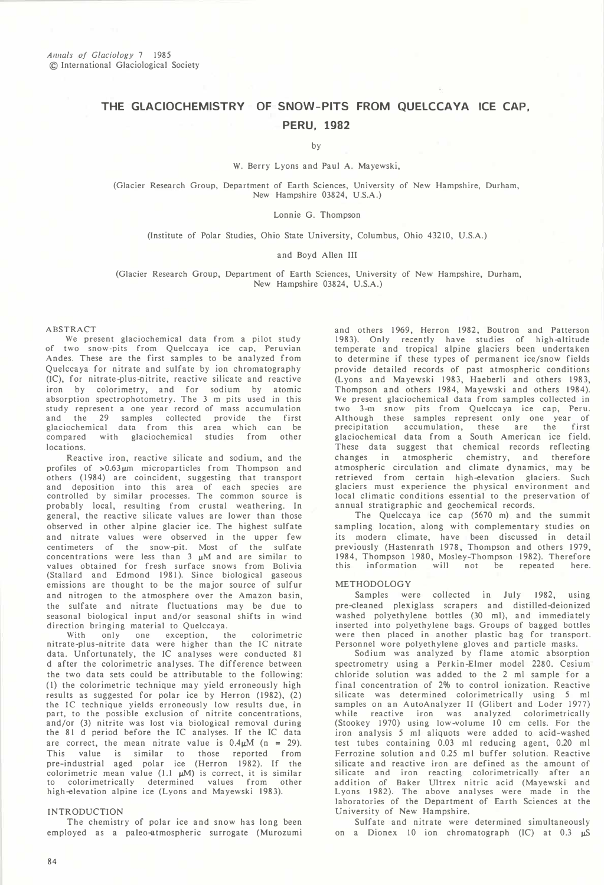### THE GLACIOCHEMISTRY OF SNOW-PITS FROM QUELCCAYA ICE CAP, PERU, 1982

by

#### W. Berry Lyons and Paul A. Mayewski,

(Glacier Research Group, Department of Earth Sciences, University of New Hampshire, Durham, New Hampshire 03824, U.S.A.)

#### Lonnie G. Thompson

(Institute of Polar Studies, Ohio State University, Columbus, Ohio 43210, U.S.A.)

#### and Boyd Alien III

(Glacier Research Group, Department of Earth Sciences, University of New Hampshire, Durham, New Hampshire 03824, U.S.A.)

#### ABSTRACT

We present glaciochemical data from a pilot study of two snow-pits from Quelccaya ice cap, Peruvian Andes. These are the first samples to be analyzed from Quelccaya for nitrate and sulfate by ion chromatography (IC), for nitrate-plus-nitrite, reactive silicate and reactive iron by colorimetry, and for sodium by atomic absorption spectrophotometry. The 3 m pits used in this study represent a one year record of mass accumulation and the 29 samples collected provide the first glaciochemical data from this area which can be compared with glaciochemical studies from other locations.

Reactive iron, reactive silicate and sodium, and the profiles of  $>0.63\,\mu$ m microparticles from Thompson and others (1984) are coincident, suggesting that transport and deposition into this area of each species are controlled by similar processes. The common source is probably local, resulting from crustal weathering. In general, the reactive silicate values are lower than those observed in other alpine glacier ice. The highest sulfate and nitrate values were observed in the upper few centimeters of the snow-pit. Most of the sulfate<br>concentrations were less than 3  $\mu$ M and are similar to values obtained for fresh surface snows from Bolivia (Stallard and Edmond 1981). Since biological gaseous emissions are thought to be the major source of sulfur and nitrogen to the atmosphere over the Amazon basin, the sulfate and nitrate fluctuations may be due to seasonal biological input and/or seasonal shifts in wind direction bringing material to Quelccaya.

With only one exception, the colorimetric nitrate-plus-nitrite data were higher than the IC nitrate data. Unfortunately, the IC analyses were conducted 81 d after the colorimetric analyses. The difference between the two data sets could be attributable to the following; (I) the colorimetric technique may yield erroneously high results as suggested for polar ice by Herron (1982), (2) the IC technique yields erroneously low results due, in part, to the possible exclusion of nitrite concentrations, and/or (3) nitrite was lost via biological removal during the 81 d period before the IC analyses. If the IC data are correct, the mean nitrate value is  $0.4 \mu M$  (n = 29). This value is similar to those reported from pre-industrial aged polar ice (Herron 1982). If the colorimetric mean value  $(1.1 \mu M)$  is correct, it is similar to colorimetrically determined values from other high-elevation alpine ice (Lyons and Mayewski 1983).

#### INTRODUCTION

The chemistry of polar ice and snow has long been employed as a paleo-atmospheric surrogate (Murozumi

and others 1969, Herron 1982, Boutron and Patterson 1983). Only recently have studies of high-altitude temperate and tropical alpine glaciers been undertaken to determine if these types of permanent ice/snow fields provide detailed records of past atmospheric conditions (Lyons and Mayewski 1983, Haeberli and others 1983, Thompson and others 1984, Mayewski and others 1984). We present glaciochemical data from samples collected in two 3-m snow pits from Quelccaya ice cap, Peru. Although these samples represent only one year of precipitation accumulation, these are the first glaciochemical data from a South American ice field. These data suggest that chemical records reflecting changes in atmospheric chemistry, and therefore atmospheric circulation and climate dynamics, may be retrieved from certain high-elevation glaciers. Such glaciers must experience the physical environment and local climatic conditions essential to the preservation of annual stratigraphic and geochemical records.

The Quelccaya ice cap (5670 m) and the summit sampling location, along with complementary studies on its modern climate, have been discussed in detail previously (Hastenrath 1978, Thompson and others 1979, 1984, Thompson 1980, Mosley-Thompson 1982). Therefore<br>this information will not be repeated here. information

#### METHODOLOGY

Samples were collected in July 1982, using pre-cleaned plexiglass scrapers and distilled-deionized washed polyethylene bottles (30 ml), and immediately inserted into polyethylene bags. Groups of bagged bottles were then placed in another plastic bag for transport.

Personnel wore polyethylene gloves and particle masks. Sodium was analyzed by flame atomic absorption spectrometry using a Perkin-Elmer model 2280. Cesium chloride solution was added to the 2 ml sample for a final concentration of 2% to control ionization. Reactive silicate was determined colorimetrically using 5 ml samples on an AutoAnalyzer II (Glibert and Loder 1977) while reactive iron was analyzed colorimetrically (Stookey 1970) using low-volume 10 cm cells. For the iron analysis 5 ml aliquots were added to acid-washed test tubes containing 0.03 ml reducing agent, 0.20 ml Ferrozine solution and 0.25 ml buffer solution. Reactive silicate and reactive iron are defined as the amount of silicate and iron reacting colorimetrically after an addition of Baker Ultrex nitric acid (Mayewski and Lyons 1982). The above analyses were made in the laboratories of the Department of Earth Sciences at the University of New Hampshire.

Sulfate and nitrate were determined simultaneously on a Dionex 10 ion chromatograph (IC) at  $0.3 \mu S$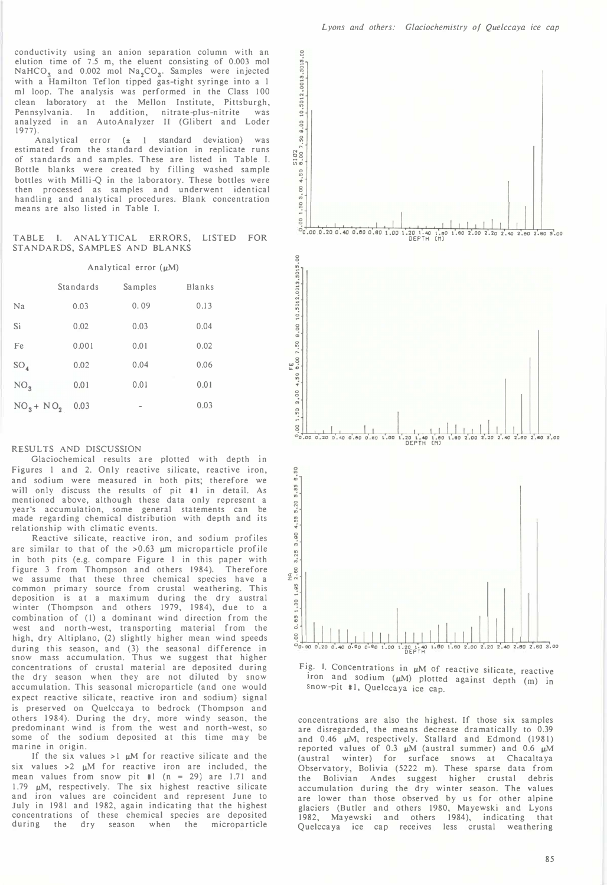conductivity using an anion separation column with an elution time of 7.5 m, the eluent consisting of 0.003 mol  $NaHCO<sub>3</sub>$  and 0.002 mol  $Na<sub>2</sub>CO<sub>3</sub>$ . Samples were injected with a Hamilton Teflon tipped gas-tight syringe into a 1 ml loop. The analysis was performed in the Class 100 clean laboratory at the Mellon Institute, Pittsburgh, Pennsylvania. In addition, nitrate-plus-nitrite was analyzed in an AutoAnalyzer 11 (Glibert and Loder 1977).

Analytical error  $(\pm 1$  standard deviation) was estimated from the standard deviation in replicate runs of standards and samples. These are listed in Table I. Bottle blanks were created by filling washed sample bottles with Milli-Q in the laboratory. These bottles were then processed as samples and underwent identical handling and analytical procedures. Blank concentration means are also listed in Table I.

#### TABLE I. ANALYTICAL ERRORS, LISTED FOR STANDARDS, SAMPLES AND BLANKS

| Analytical error $(\mu M)$ |  |  |
|----------------------------|--|--|
|----------------------------|--|--|

|                 | Standards | Samples                  | Blanks |  |
|-----------------|-----------|--------------------------|--------|--|
| Na              | 0.03      | 0.09                     | 0.13   |  |
| Si              | 0.02      | 0.03                     | 0.04   |  |
| Fe              | 0.001     | 0.01                     | 0.02   |  |
| $SO_4$          | 0.02      | 0.04                     | 0.06   |  |
| NO <sub>3</sub> | 0.01      | 0.01                     | 0.01   |  |
| $NO_3 + NO_2$   | 0.03      | $\overline{\phantom{a}}$ | 0.03   |  |

#### RESULTS AND DISCUSSION

Glaciochemical results are plotted with depth in Figures I and 2. Only reactive silicate, reactive iron, and sodium were measured in both pits; therefore we will only discuss the results of pit #1 in detail. As mentioned above, although these data only represent a year's accumulation, some general statements can be made regarding chemical distribution with depth and its relationship with climatic events.

Reactive silicate, reactive iron, and sodium profiles are similar to that of the  $>0.63$   $\mu$ m microparticle profile in both pits (e.g. compare Figure I in this paper with figure 3 from Thompson and others 1984). Therefore we assume that these three chemical species have a<br>common primary source from crustal weathering This common primary source from crustal weathering. deposition is at a maximum during the dry austral winter (Thompson and others 1979, 1984), due to a combination of (I) a dominant wind direction from the west and north-west, transporting material from the high, dry Altiplano, (2) slightly higher mean wind speeds during this season, and (3) the seasonal difference in snow mass accumulation. Thus we suggest that higher concentrations of crustal material are deposited during the dry season when they are not diluted by snow accumula tion. This seasonal microparticle (and one would expect reactive silicate, reactive iron and sodium) signal is preserved on Quelccaya to bedrock (Thompson and others 1984). During the dry, more windy season, the predominant wind is from the west and north-west, so some of the sodium deposited at this time may be marine in origin.

If the six values  $>1$   $\mu$ M for reactive silicate and the six values  $>2$   $\mu$ M for reactive iron are included, the mean values from snow pit #1  $(n = 29)$  are 1.71 and 1.79  $\mu$ M, respectively. The six highest reactive silicate and iron values are coincident and represent June to July in 1981 and 1982, again indicating that the highest concentrations of these chemical species are deposited during the dry season when the microparticle



![](_page_2_Figure_11.jpeg)

concentrations are also the highest. If those six samples are disregarded, the means decrease dramatically to 0.39 and  $0.46$   $\mu$ M, respectively. Stallard and Edmond (1981) reported values of 0.3  $\mu$ M (austral summer) and 0.6  $\mu$ M (austral winter) for surface snows at Chacaltaya Observatory, Bolivia (5222 m). These sparse data from the Bolivian Andes suggest higher crustal debris accumulation during the dry winter season. The values are lower than those observed by us for other alpine glaciers (Butler and others 1980, Mayewski and Lyons 1982, Mayewski and others 1984), indicating that Quelccaya ice cap receives less crustal weathering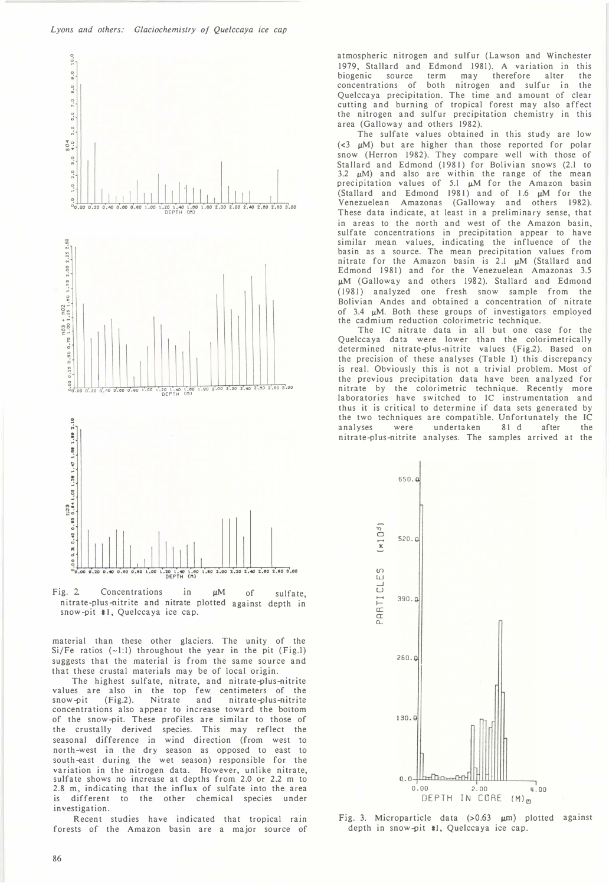![](_page_3_Figure_1.jpeg)

![](_page_3_Figure_2.jpeg)

material than these other glaciers. The unity of the  $Si/Fe$  ratios  $(-1:1)$  throughout the year in the pit (Fig.1) suggests that the material is from the same source and that these crustal materials may be of local origin.

The highest sulfate, nitrate, and nitrate-plus-nitrite values are also in the top few centimeters of the<br>snow-pit (Fig.2). Nitrate and nitrate-plus-nitrite snow-pit (Fig.2). Nitrate and nitrate-plus-nitrite concentrations also appear to increase toward the bottom of the snow-pit. These profiles are similar to those of the crustally derived species. This may reflect the seasonal difference in wind direction (from west to north-west in the dry season as opposed to east to south-east during the wet season) responsible for the variation in the nitrogen data. However, unlike nitrate, sulfate shows no increase at depths from 2.0 or 2.2 m to 2.8 m, indicating that the influx of sulfate into the area is different to the other chemical species under investigation.

Recent studies have indicated that tropical rain forests of the Amazon basin are a major source of atmospheric nitrogen and sulfur (Lawson and Winchester 1979, Stallard and Edmond 1981). A variation in this biogenic source term may therefore concentrations of both nitrogen and sulfur in the Quelccaya precipitation. The time and amount of clear cutting and burning of tropical forest may also affect the nitrogen and sulfur precipitation chemistry in this area (Galloway and others 1982).

The sulfate values obtained in this study are low ( $<$ 3  $\mu$ M) but are higher than those reported for polar snow (Herron 1982). They compare well with those of Stallard and Edmond (1981) for Bolivian snows (2.l to 3.2  $\mu$ M) and also are within the range of the mean precipitation values of 5.1  $\mu$ M for the Amazon basin (Stallard and Edmond 1981) and of 1.6  $\mu$ M for the Venezuelean Amazonas (Galloway and others 1982). These data indicate, at least in a preliminary sense, that in areas to the north and west of the Amazon basin, sulfate concentrations in precipitation appear to have similar mean values, indicating the influence of the basin as a source. The mean precipitation values from nitrate for the Amazon basin is  $2.1 \mu M$  (Stallard and Edmond 1981) and for the Venezuelean Amazonas 3.5 µM (Galloway and others 1982). Stallard and Edmond ( 1981) analyzed one fresh snow sample from the Bolivian Andes and obtained a concentration of nitrate of 3.4  $\mu$ M. Both these groups of investigators employed the cadmium reduction colorimetric technique.

The IC nitrate data in all but one case for the Quelccaya data were lower than the colorimetrically determined nitrate-plus-nitrite values (Fig.2). Based on the precision of these analyses (Table J) this discrepancy is real. Obviously this is not a trivial problem. Most of the previous precipitation data have been analyzed for nitrate by the colorimetric technique. Recently more laboratories have switched to IC instrumentation and thus it is critical to determine if data sets generated by the two techniques are compatible. Unfortunately the IC<br>analyses were undertaken 81 d after the were undertaken 81 d after the nitrate-plus-nitrite analyses. The samples arrived at the

![](_page_3_Figure_9.jpeg)

Fig. 3. Microparticle data  $(>0.63 \mu m)$  plotted against depth in snow-pit #1, Quelccaya ice cap.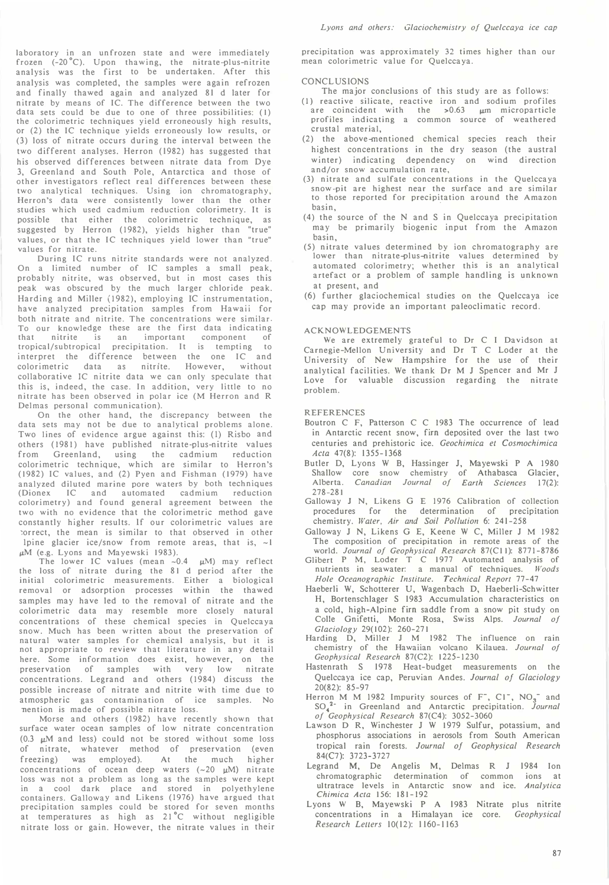laboratory in an unfrozen state and were immediately frozen (-20°C). Upon thawing, the nitrate-plus-nitrite analysis was the first to be undertaken. After this analysis was completed, the samples were again refrozen and finally thawed again and analyzed 81 d later for nitrate by means of IC. The difference between the two data sets could be due to one of three possibilities: ( I) the colorimetric techniques yield erroneously high results, or (2) the IC technique yields erroneously low results, or (3) loss of nitrate occurs during the interval between the two different analyses. Herron (1982) has suggested that his observed differences between nitrate data from Dye 3, Greenland and South Pole, Antarctica and those of other investigators reflect real differences between these two analytical techniques. Using ion chromatography, Herron's data were consistently lower than the other studies which used cadmium reduction colorimetry. It is possible that either the colorimetric technique, as suggested by Herron (1982), yields higher than "true" values, or that the IC techniques yield lower than "true" values for nitrate.

During IC runs nitrite standards were not analyzed. On a limited number of IC samples a small peak, probably nitrite, was observed, but in most cases this peak was obscured by the much larger chloride peak. Harding and Miller (1982), employing IC instrumentation, have analyzed precipitation samples from Hawaii for both nitrate and nitrite. The concentrations were similar. To our knowledge these are the first data indicating that nitrite is an important component of tropical/subtropical precipitation. It is tempting to interpret the difference between the one IC and colorimetric data as nitrite. However, without collaborative IC nitrite data we can only speculate that this is, indeed, the case. In addition, very little to no nitrate has been observed in polar ice (M Herron and R Delmas personal communication).

On the other hand, the discrepancy between the data sets may not be due to analytical problems alone. Two lines of evidence argue against this: (I) Risbo and others (1981) have published nitrate-plus-nitrite values from Greenland, using the cadmium reduction colorimetric technique, which are similar to Herron's (1982) IC values, and (2) Pyen and Fishman (1979) have analyzed diluted marine pore waters by both techniques (Dionex IC and automated cadmium reduction colorimetry) and found general agreement between the two with no evidence that the colorimetric method gave constantly higher results. If our colorimetric values are �orrect, the mean is similar to that observed in other Ipine glacier ice/snow from remote areas, that is,  $\sim$  1  $\mu$ M (e.g. Lyons and Mayewski 1983).

The lower IC values (mean  $\sim 0.4$   $\mu$ M) may reflect the loss of nitrate during the 81 d period after the initial colorimetric measurements. Either a biological removal or adsorption processes within the thawed samples may have led to the removal of nitrate and the colorimetric data may resemble more closely natural concentrations of these chemical species in Quelccaya snow. Much has been written about the preservation of natural water samples for chemical analysis, but it is not appropriate to review that literature in any detail here. Some information does exist, however, on the preservation of samples with very low nitrate concentrations. Legrand and others (1984) discuss the possible increase of nitrate and nitrite with time due to atmospheric gas contamination of ice samples. No nention is made of possible nitrate loss.

Morse and others (1982) have recently shown that surface water ocean samples of low nitrate concentration (0.3  $\mu$ M and less) could not be stored without some loss of nitrate, whatever method of preservation (even freezing) was employed). At the much higher concentrations of ocean deep waters  $(-20 \mu M)$  nitrate loss was not a problem as long as the samples were kept in a cool dark place and stored in polyethylene containers. Galloway and Likens (1976) have argued that precipitation samples could be stored for seven months<br>at temperatures as high as 21°C without negligible nitrate loss or gain. However, the nitrate values in their

precipitation was approximately 32 times higher than our mean colorimetric value for Quelccaya.

#### CONCLUSIONS

- The major conclusions of this study are as follows:
- (I) reactive silicate, reactive iron and sodium profiles are coincident with the  $>0.63$   $\mu$ m microparticle profiles indicating a common source of weathered crustal material.
- (2) the above-mentioned chemical species reach their highest concentrations in the dry season (the austral winter) indicating dependency on wind direction and/or snow accumulation rate,
- (3) nitrate and sulfate concentrations in the Quelccaya snow-pit are highest near the surface and are similar to those reported for precipitation around the Amazon basin,
- (4) the source of the N and S in Quelccaya precipitation may be primarily biogenic input from the Amazon basin,
- (5) nitrate values determined by ion chromatography are lower than nitrate-plus-nitrite values determined by automated colorimetry; whether this is an analytical artefact or a problem of sample handling is unknown at present, and
- (6) further glaciochemical studies on the Quelccaya ice cap may provide an important paleoclimatic record.

#### ACKNOWLEDGEMENTS

We are extremely grateful to Dr C I Davidson at Carnegie-Mellon Uni<sup>v</sup>ersity and Dr T C Loder at the University of New Hampshire for the use of their analytical facilities. We thank Dr M J Spencer and Mr J Love for valuable discussion regarding the nitrate problem.

#### REFERENCES

- Boutron C F, Patterson C C 1983 The occurrence of lead in Antarctic recent snow, fim deposited over the last two centuries and prehistoric ice. Geochimica et Cosmochimica Acta 47(8): 1355-1368
- Butler D, Lyons W B, Hassinger J, Mayewski P A 1980 Shallow core snow chemistry Alberta. Canadian Journal of 278-28 I of Athabasca Glacier, Earth Sciences 17(2):
- Galloway J N, Likens G E 1976 Calibration of collection procedures for the determination of precipitation chemistry. Water, Air and Soil Pollution 6: 241-258
- Galloway J N, Likens G E, Keene W C, Miller J M 1982 The composition of precipitation in remote areas of the world. Journal of Geophysical Research 87(C11): 8771-8786
- Glibert P M, Loder T C 1977 Automated analysis of nutrients in seawater: a manual of techniques. Woods Hole Oceanographic Institute. Technical Report 77-47
- Haeberli W, Schotterer U, Wagenbach D, Haeberli-Schwitter H, Bortenschlager S 1983 Accumulation characteristics on a cold, high-Alpine fim saddle from a snow pit study on Colle Gnifetti, Monte Rosa, Swiss Alps. Journal of Glaciology 29(102): 260-271
- Harding D, Miller J M 1982 The influence on rain chemistry of the Hawaiian volcano Kilauea. Journal of Geophysical Research 87(C2): 1225-1230
- Hastenrath S 1978 Heat- budget measurements on the Quelccaya ice cap, Peruvian Andes. Journal of Glaciology 20(82): 85-97
- Herron M M 1982 Impurity sources of  $F^-, C1^-, NO_3^-$  and  $SO_4^{2-}$  in Greenland and Antarctic precipitation. Journal of Geophysical Research 87(C4): 3052-3060
- Lawson D R, Winchester J W 1979 Sulfur, potassium, and phosphorus associations in aerosols from South American tropical rain forests. Journal of Geophysical Research 84(C7): 3723-3727
- Legrand M, De Angelis M, Delmas R J 1984 Ion chromatographic determination of common ions at uItratrace levels in Antarctic snow and ice. Analytica Chimica Acta 156: 181-192
- Lyons W B, Mayewski P A 1983 Nitrate plus nitrite concentrations in a Himalayan ice core. Geophysical Research Lellers 10(12): 1160-1163